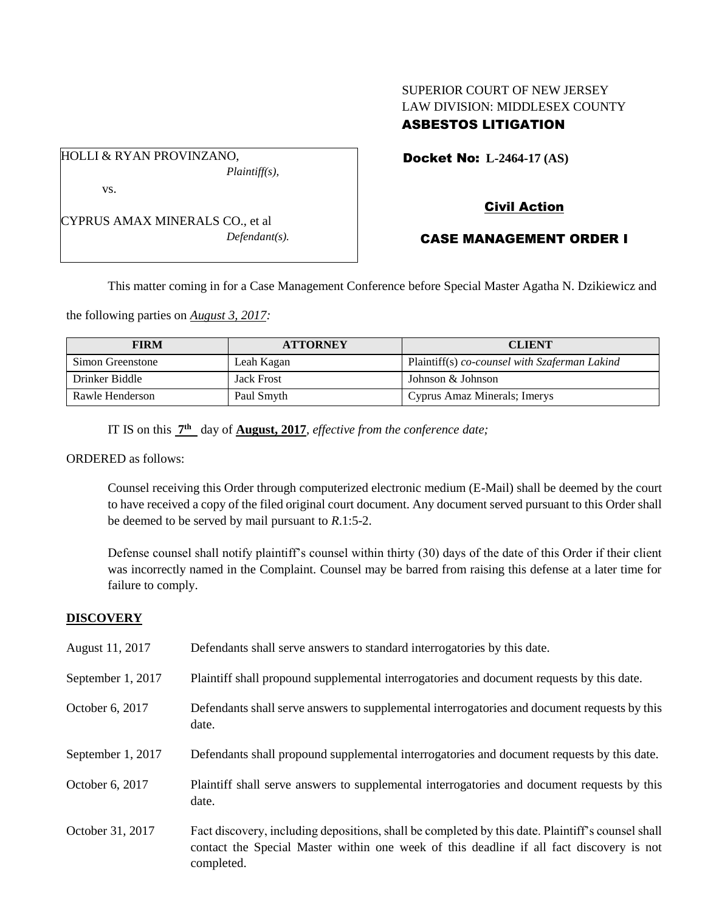# SUPERIOR COURT OF NEW JERSEY LAW DIVISION: MIDDLESEX COUNTY ASBESTOS LITIGATION

Docket No: **L-2464-17 (AS)** 

vs.

HOLLI & RYAN PROVINZANO,

CYPRUS AMAX MINERALS CO., et al *Defendant(s).*

*Plaintiff(s),*

# Civil Action

# CASE MANAGEMENT ORDER I

This matter coming in for a Case Management Conference before Special Master Agatha N. Dzikiewicz and

the following parties on *August 3, 2017:*

| <b>FIRM</b>      | <b>ATTORNEY</b>   | <b>CLIENT</b>                                 |
|------------------|-------------------|-----------------------------------------------|
| Simon Greenstone | Leah Kagan        | Plaintiff(s) co-counsel with Szaferman Lakind |
| Drinker Biddle   | <b>Jack Frost</b> | Johnson & Johnson                             |
| Rawle Henderson  | Paul Smyth        | Cyprus Amaz Minerals; Imerys                  |

IT IS on this  $\frac{7^{\text{th}}}{7^{\text{th}}}$  day of **August, 2017**, *effective from the conference date*;

ORDERED as follows:

Counsel receiving this Order through computerized electronic medium (E-Mail) shall be deemed by the court to have received a copy of the filed original court document. Any document served pursuant to this Order shall be deemed to be served by mail pursuant to *R*.1:5-2.

Defense counsel shall notify plaintiff's counsel within thirty (30) days of the date of this Order if their client was incorrectly named in the Complaint. Counsel may be barred from raising this defense at a later time for failure to comply.

### **DISCOVERY**

| August 11, 2017   | Defendants shall serve answers to standard interrogatories by this date.                                                                                                                                    |
|-------------------|-------------------------------------------------------------------------------------------------------------------------------------------------------------------------------------------------------------|
| September 1, 2017 | Plaintiff shall propound supplemental interrogatories and document requests by this date.                                                                                                                   |
| October 6, 2017   | Defendants shall serve answers to supplemental interrogatories and document requests by this<br>date.                                                                                                       |
| September 1, 2017 | Defendants shall propound supplemental interrogatories and document requests by this date.                                                                                                                  |
| October 6, 2017   | Plaintiff shall serve answers to supplemental interrogatories and document requests by this<br>date.                                                                                                        |
| October 31, 2017  | Fact discovery, including depositions, shall be completed by this date. Plaintiff's counsel shall<br>contact the Special Master within one week of this deadline if all fact discovery is not<br>completed. |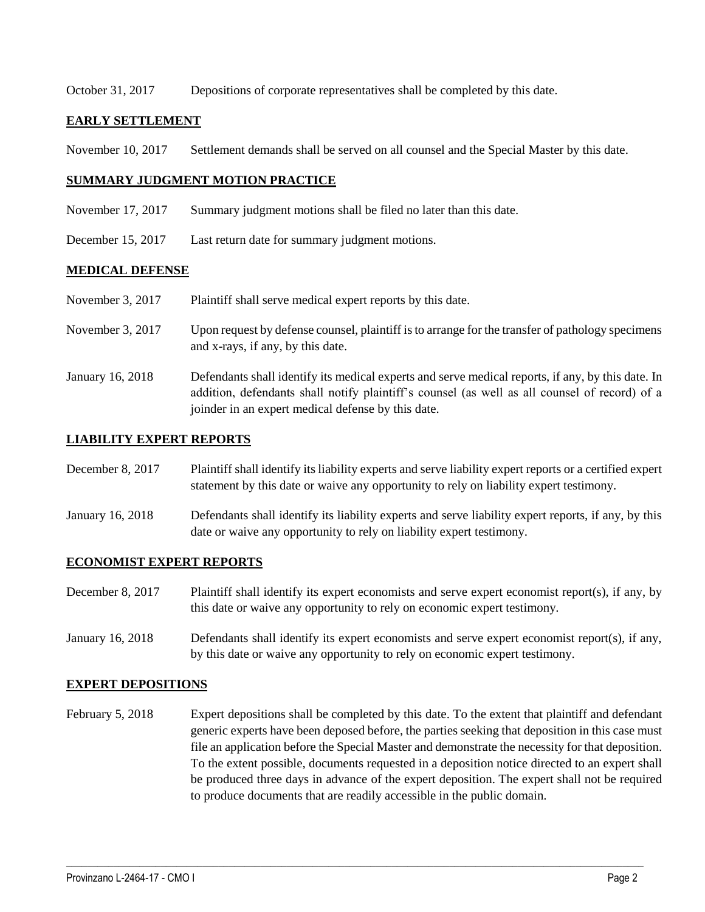October 31, 2017 Depositions of corporate representatives shall be completed by this date.

#### **EARLY SETTLEMENT**

November 10, 2017 Settlement demands shall be served on all counsel and the Special Master by this date.

### **SUMMARY JUDGMENT MOTION PRACTICE**

- November 17, 2017 Summary judgment motions shall be filed no later than this date.
- December 15, 2017 Last return date for summary judgment motions.

#### **MEDICAL DEFENSE**

- November 3, 2017 Plaintiff shall serve medical expert reports by this date.
- November 3, 2017 Upon request by defense counsel, plaintiff is to arrange for the transfer of pathology specimens and x-rays, if any, by this date.
- January 16, 2018 Defendants shall identify its medical experts and serve medical reports, if any, by this date. In addition, defendants shall notify plaintiff's counsel (as well as all counsel of record) of a joinder in an expert medical defense by this date.

#### **LIABILITY EXPERT REPORTS**

- December 8, 2017 Plaintiff shall identify its liability experts and serve liability expert reports or a certified expert statement by this date or waive any opportunity to rely on liability expert testimony.
- January 16, 2018 Defendants shall identify its liability experts and serve liability expert reports, if any, by this date or waive any opportunity to rely on liability expert testimony.

### **ECONOMIST EXPERT REPORTS**

- December 8, 2017 Plaintiff shall identify its expert economists and serve expert economist report(s), if any, by this date or waive any opportunity to rely on economic expert testimony.
- January 16, 2018 Defendants shall identify its expert economists and serve expert economist report(s), if any, by this date or waive any opportunity to rely on economic expert testimony.

#### **EXPERT DEPOSITIONS**

February 5, 2018 Expert depositions shall be completed by this date. To the extent that plaintiff and defendant generic experts have been deposed before, the parties seeking that deposition in this case must file an application before the Special Master and demonstrate the necessity for that deposition. To the extent possible, documents requested in a deposition notice directed to an expert shall be produced three days in advance of the expert deposition. The expert shall not be required to produce documents that are readily accessible in the public domain.

 $\_$  ,  $\_$  ,  $\_$  ,  $\_$  ,  $\_$  ,  $\_$  ,  $\_$  ,  $\_$  ,  $\_$  ,  $\_$  ,  $\_$  ,  $\_$  ,  $\_$  ,  $\_$  ,  $\_$  ,  $\_$  ,  $\_$  ,  $\_$  ,  $\_$  ,  $\_$  ,  $\_$  ,  $\_$  ,  $\_$  ,  $\_$  ,  $\_$  ,  $\_$  ,  $\_$  ,  $\_$  ,  $\_$  ,  $\_$  ,  $\_$  ,  $\_$  ,  $\_$  ,  $\_$  ,  $\_$  ,  $\_$  ,  $\_$  ,